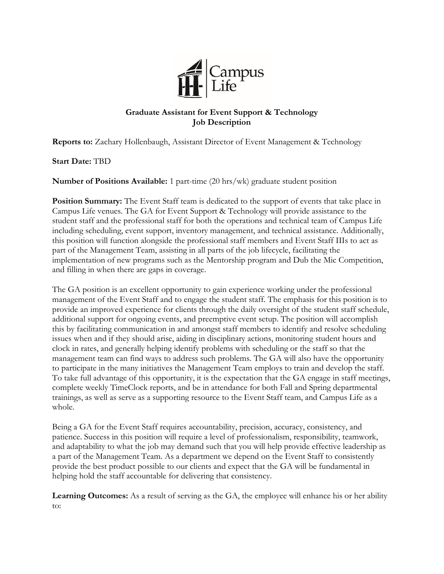

## **Graduate Assistant for Event Support & Technology Job Description**

**Reports to:** Zachary Hollenbaugh, Assistant Director of Event Management & Technology

**Start Date:** TBD

**Number of Positions Available:** 1 part-time (20 hrs/wk) graduate student position

**Position Summary:** The Event Staff team is dedicated to the support of events that take place in Campus Life venues. The GA for Event Support & Technology will provide assistance to the student staff and the professional staff for both the operations and technical team of Campus Life including scheduling, event support, inventory management, and technical assistance. Additionally, this position will function alongside the professional staff members and Event Staff IIIs to act as part of the Management Team, assisting in all parts of the job lifecycle, facilitating the implementation of new programs such as the Mentorship program and Dub the Mic Competition, and filling in when there are gaps in coverage.

The GA position is an excellent opportunity to gain experience working under the professional management of the Event Staff and to engage the student staff. The emphasis for this position is to provide an improved experience for clients through the daily oversight of the student staff schedule, additional support for ongoing events, and preemptive event setup. The position will accomplish this by facilitating communication in and amongst staff members to identify and resolve scheduling issues when and if they should arise, aiding in disciplinary actions, monitoring student hours and clock in rates, and generally helping identify problems with scheduling or the staff so that the management team can find ways to address such problems. The GA will also have the opportunity to participate in the many initiatives the Management Team employs to train and develop the staff. To take full advantage of this opportunity, it is the expectation that the GA engage in staff meetings, complete weekly TimeClock reports, and be in attendance for both Fall and Spring departmental trainings, as well as serve as a supporting resource to the Event Staff team, and Campus Life as a whole.

Being a GA for the Event Staff requires accountability, precision, accuracy, consistency, and patience. Success in this position will require a level of professionalism, responsibility, teamwork, and adaptability to what the job may demand such that you will help provide effective leadership as a part of the Management Team. As a department we depend on the Event Staff to consistently provide the best product possible to our clients and expect that the GA will be fundamental in helping hold the staff accountable for delivering that consistency.

**Learning Outcomes:** As a result of serving as the GA, the employee will enhance his or her ability to: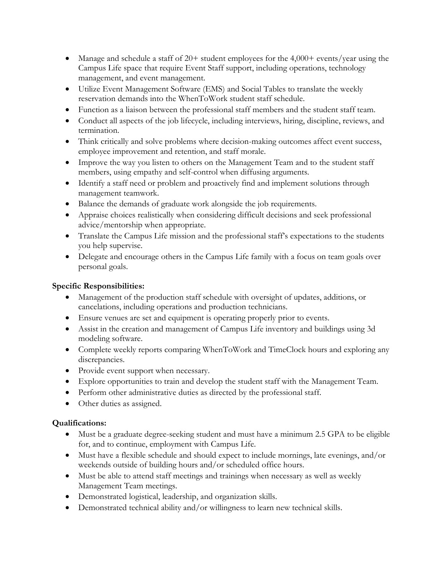- Manage and schedule a staff of 20+ student employees for the 4,000+ events/year using the Campus Life space that require Event Staff support, including operations, technology management, and event management.
- Utilize Event Management Software (EMS) and Social Tables to translate the weekly reservation demands into the WhenToWork student staff schedule.
- Function as a liaison between the professional staff members and the student staff team.
- Conduct all aspects of the job lifecycle, including interviews, hiring, discipline, reviews, and termination.
- Think critically and solve problems where decision-making outcomes affect event success, employee improvement and retention, and staff morale.
- Improve the way you listen to others on the Management Team and to the student staff members, using empathy and self-control when diffusing arguments.
- Identify a staff need or problem and proactively find and implement solutions through management teamwork.
- Balance the demands of graduate work alongside the job requirements.
- Appraise choices realistically when considering difficult decisions and seek professional advice/mentorship when appropriate.
- Translate the Campus Life mission and the professional staff's expectations to the students you help supervise.
- Delegate and encourage others in the Campus Life family with a focus on team goals over personal goals.

# **Specific Responsibilities:**

- Management of the production staff schedule with oversight of updates, additions, or cancelations, including operations and production technicians.
- Ensure venues are set and equipment is operating properly prior to events.
- Assist in the creation and management of Campus Life inventory and buildings using 3d modeling software.
- Complete weekly reports comparing WhenToWork and TimeClock hours and exploring any discrepancies.
- Provide event support when necessary.
- Explore opportunities to train and develop the student staff with the Management Team.
- Perform other administrative duties as directed by the professional staff.
- Other duties as assigned.

## **Qualifications:**

- Must be a graduate degree-seeking student and must have a minimum 2.5 GPA to be eligible for, and to continue, employment with Campus Life.
- Must have a flexible schedule and should expect to include mornings, late evenings, and/or weekends outside of building hours and/or scheduled office hours.
- Must be able to attend staff meetings and trainings when necessary as well as weekly Management Team meetings.
- Demonstrated logistical, leadership, and organization skills.
- Demonstrated technical ability and/or willingness to learn new technical skills.